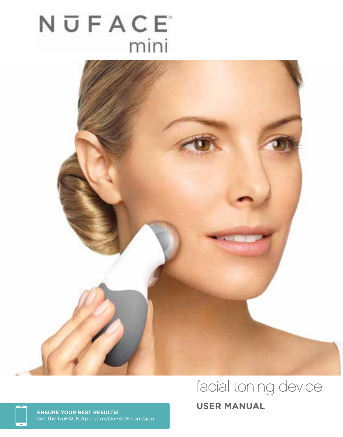# NUFACE<sup>®</sup> mini



# facial toning device

**USER MANUAL ENSURE YOUR BEST RESULTS!**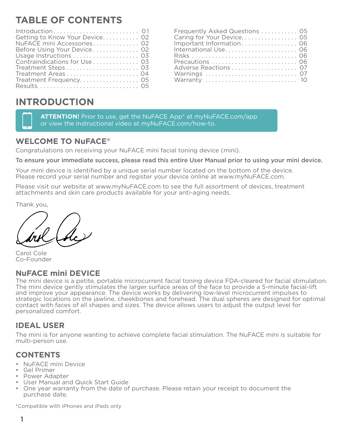# **TABLE OF CONTENTS**

| $Introduction \dots \dots \dots \dots \dots \dots \dots \dots \dots \dots \dots \dots \dots$ |  |
|----------------------------------------------------------------------------------------------|--|
| Getting to Know Your Device 02                                                               |  |
| NuFACE mini Accessories 02                                                                   |  |
| Before Using Your Device 02                                                                  |  |
|                                                                                              |  |
| Contraindications for Use  03                                                                |  |
|                                                                                              |  |
| Treatment Areas 04                                                                           |  |
| Treatment Frequency 05                                                                       |  |
|                                                                                              |  |

| Frequently Asked Questions  05 |  |
|--------------------------------|--|
| Caring for Your Device 05      |  |
| Important Information 06       |  |
| International Use 06           |  |
|                                |  |
| Precautions  06                |  |
| Adverse Reactions 07           |  |
| Warnings  07                   |  |
| Warranty  10                   |  |
|                                |  |

## **INTRODUCTION**

**ATTENTION!** Prior to use, get the NuFACE App\* at myNuFACE.com/app or view the instructional video at myNuFACE.com/how-to.

#### **WELCOME TO NuFACE®**

Congratulations on receiving your NuFACE mini facial toning device (mini).

To ensure your immediate success, please read this entire User Manual prior to using your mini device.

Your mini device is identified by a unique serial number located on the bottom of the device. Please record your serial number and register your device online at www.myNuFACE.com.

Please visit our website at www.myNuFACE.com to see the full assortment of devices, treatment attachments and skin care products available for your anti-aging needs.

Thank you,

Carol Cole Co-Founder

#### **NuFACE mini DEVICE**

The mini device is a petite, portable microcurrent facial toning device FDA-cleared for facial stimulation. The mini device gently stimulates the larger surface areas of the face to provide a 5-minute facial-lift and improve your appearance. The device works by delivering low-level microcurrent impulses to strategic locations on the jawline, cheekbones and forehead. The dual spheres are designed for optimal contact with faces of all shapes and sizes. The device allows users to adjust the output level for personalized comfort.

#### **IDEAL USER**

The mini is for anyone wanting to achieve complete facial stimulation. The NuFACE mini is suitable for multi-person use.

#### **CONTENTS**

- NuFACE mini Device
- Gel Primer<br>• Power Adapter
- 
- 
- User Manual and Quick Start Guide<br>• One year warranty from the date of purchase. Please retain your receipt to document the purchase date.

\*Compatible with iPhones and iPads only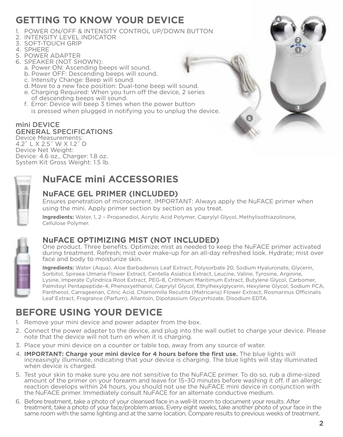## **GETTING TO KNOW YOUR DEVICE**

- 1. POWER ON/OFF & INTENSITY CONTROL UP/DOWN BUTTON
- 2. INTENSITY LEVEL INDICATOR
- 3. SOFT-TOUCH GRIP
- 4. SPHERE
- 5. POWER ADAPTER
- 6. SPEAKER (NOT SHOWN):
	- a. Power ON: Ascending beeps will sound.
	- b. Power OFF: Descending beeps will sound.
	- c. Intensity Change: Beep will sound.
	- d. Move to a new face position: Dual-tone beep will sound.
	- e. Charging Required: When you turn off the device, 2 series of descending beeps will sound.
	- f. Error: Device will beep 3 times when the power button is pressed when plugged in notifying you to unplug the device.

#### mini DEVICE GENERAL SPECIFICATIONS Device Measurements:

4.2˝ L X 2.5˝ W X 1.2˝ D Device Net Weight: Device: 4.6 oz., Charger: 1.8 oz. System Kit Gross Weight: 1.5 lb.



# **NuFACE mini ACCESSORIES**

### **NuFACE GEL PRIMER (INCLUDED)**

Ensures penetration of microcurrent. IMPORTANT: Always apply the NuFACE primer when using the mini. Apply primer section by section as you treat.

**Ingredients:** Water, 1, 2 – Propanediol, Acrylic Acid Polymer, Caprylyl Glycol, Methylisothiazolinone, Cellulose Polymer.



## **NuFACE OPTIMIZING MIST (NOT INCLUDED)**

One product. Three benefits. Optimize; mist as needed to keep the NuFACE primer activated during treatment. Refresh; mist over make-up for an all-day refreshed look. Hydrate; mist over face and body to moisturize skin.

**Ingredients:** Water (Aqua), Aloe Barbadensis Leaf Extract, Polysorbate 20, Sodium Hyaluronate, Glycerin, Sorbitol, Spiraea Ulmaria Flower Extract, Centella Asiatica Extract, Leucine, Valine, Tyrosine, Arginine, Lysine, Imperate Cylindrica Root Extract, PEG-8, Crithmum Maritimum Extract, Butylene Glycol, Carbomer, Palmitoyl Pentapeptide-4, Phenoxyethanol, Caprylyl Glycol, Ethylhexylglycerin, Hexylene Glycol, Sodium PCA, Panthenol, Carrageenan, Citric Acid, Chamomilla Recutita (Matricaria) Flower Extract, Rosmarinus Officinalis Leaf Extract, Fragrance (Parfum), Allantoin, Dipotassium Glycyrrhizate, Disodium EDTA.

# **BEFORE USING YOUR DEVICE**

- 1. Remove your mini device and power adapter from the box.
- 2. Connect the power adapter to the device, and plug into the wall outlet to charge your device. Please note that the device will not turn on when it is charging.
- 3. Place your mini device on a counter or table top, away from any source of water.
- 4. **IMPORTANT: Charge your mini device for 4 hours before the first use.** The blue lights will increasingly illuminate, indicating that your device is charging. The blue lights will stay illuminated when device is charged.
- 5. Test your skin to make sure you are not sensitive to the NuFACE primer. To do so, rub a dime-sized amount of the primer on your forearm and leave for 15–30 minutes before washing it off. If an allergic reaction develops within 24 hours, you should not use the NuFACE mini device in conjunction with the NuFACE primer. Immediately consult NuFACE for an alternate conductive medium.
- 6. Before treatment, take a photo of your cleansed face in a well-lit room to document your results. After treatment, take a photo of your face/problem areas. Every eight weeks, take another photo of your face in the same room with the same lighting and at the same location. Compare results to previous weeks of treatment.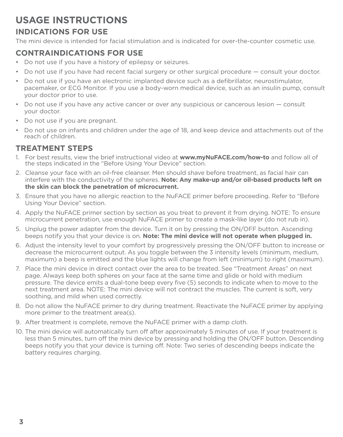## **USAGE INSTRUCTIONS**

### **INDICATIONS FOR USE**

The mini device is intended for facial stimulation and is indicated for over-the-counter cosmetic use.

#### **CONTRAINDICATIONS FOR USE**

- Do not use if you have a history of epilepsy or seizures.
- Do not use if you have had recent facial surgery or other surgical procedure consult your doctor.
- Do not use if you have an electronic implanted device such as a defibrillator, neurostimulator, pacemaker, or ECG Monitor. If you use a body-worn medical device, such as an insulin pump, consult your doctor prior to use.
- Do not use if you have any active cancer or over any suspicious or cancerous lesion consult your doctor.
- Do not use if you are pregnant.
- Do not use on infants and children under the age of 18, and keep device and attachments out of the reach of children.

#### **TREATMENT STEPS**

- 1. For best results, view the brief instructional video at **www.myNuFACE.com/how-to** and follow all of the steps indicated in the "Before Using Your Device" section.
- 2. Cleanse your face with an oil-free cleanser. Men should shave before treatment, as facial hair can interfere with the conductivity of the spheres. **Note: Any make-up and/or oil-based products left on the skin can block the penetration of microcurrent.**
- 3. Ensure that you have no allergic reaction to the NuFACE primer before proceeding. Refer to "Before Using Your Device" section.
- 4. Apply the NuFACE primer section by section as you treat to prevent it from drying. NOTE: To ensure microcurrent penetration, use enough NuFACE primer to create a mask-like layer (do not rub in).
- 5. Unplug the power adapter from the device. Turn it on by pressing the ON/OFF button. Ascending beeps notify you that your device is on. **Note: The mini device will not operate when plugged in.**
- 6. Adjust the intensity level to your comfort by progressively pressing the ON/OFF button to increase or decrease the microcurrent output. As you toggle between the 3 intensity levels (minimum, medium, maximum) a beep is emitted and the blue lights will change from left (minimum) to right (maximum).
- 7. Place the mini device in direct contact over the area to be treated. See "Treatment Areas" on next page. Always keep both spheres on your face at the same time and glide or hold with medium pressure. The device emits a dual-tone beep every five (5) seconds to indicate when to move to the next treatment area. NOTE: The mini device will not contract the muscles. The current is soft, very soothing, and mild when used correctly.
- 8. Do not allow the NuFACE primer to dry during treatment. Reactivate the NuFACE primer by applying more primer to the treatment area(s).
- 9. After treatment is complete, remove the NuFACE primer with a damp cloth.
- 10. The mini device will automatically turn off after approximately 5 minutes of use. If your treatment is less than 5 minutes, turn off the mini device by pressing and holding the ON/OFF button. Descending beeps notify you that your device is turning off. Note: Two series of descending beeps indicate the battery requires charging.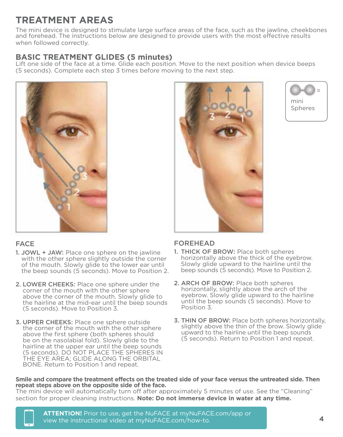# **TREATMENT AREAS**

The mini device is designed to stimulate large surface areas of the face, such as the jawline, cheekbones and forehead. The instructions below are designed to provide users with the most effective results when followed correctly.

## **BASIC TREATMENT GLIDES (5 minutes)**

Lift one side of the face at a time. Glide each position. Move to the next position when device beeps (5 seconds). Complete each step 3 times before moving to the next step.



#### FACE

- 1. JOWL + JAW: Place one sphere on the jawline with the other sphere slightly outside the corner of the mouth. Slowly glide to the lower ear until the beep sounds (5 seconds). Move to Position 2.
- 2. LOWER CHEEKS: Place one sphere under the corner of the mouth with the other sphere above the corner of the mouth. Slowly glide to the hairline at the mid-ear until the beep sounds (5 seconds). Move to Position 3.
- 3. UPPER CHEEKS: Place one sphere outside the corner of the mouth with the other sphere above the first sphere (both spheres should be on the nasolabial fold). Slowly glide to the hairline at the upper ear until the beep sounds (5 seconds). DO NOT PLACE THE SPHERES IN THE EYE AREA; GLIDE ALONG THE ORBITAL BONE. Return to Position 1 and repeat.





#### FOREHEAD

- 1. THICK OF BROW: Place both spheres horizontally above the thick of the eyebrow. Slowly glide upward to the hairline until the beep sounds (5 seconds). Move to Position 2.
- 2. ARCH OF BROW: Place both spheres horizontally, slightly above the arch of the eyebrow. Slowly glide upward to the hairline until the beep sounds (5 seconds). Move to Position 3.
- 3. THIN OF BROW: Place both spheres horizontally, slightly above the thin of the brow. Slowly glide upward to the hairline until the beep sounds (5 seconds). Return to Position 1 and repeat.

#### **Smile and compare the treatment effects on the treated side of your face versus the untreated side. Then repeat steps above on the opposite side of the face.**

The mini device will automatically turn off after approximately 5 minutes of use. See the "Cleaning" section for proper cleaning instructions. **Note: Do not immerse device in water at any time.**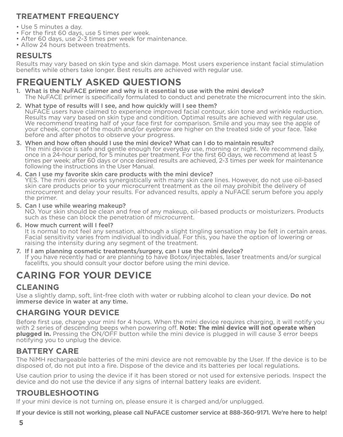## **TREATMENT FREQUENCY**

- Use 5 minutes a day.
- For the first 60 days, use 5 times per week.
- After 60 days, use 2-3 times per week for maintenance.
- Allow 24 hours between treatments.

## **RESULTS**

Results may vary based on skin type and skin damage. Most users experience instant facial stimulation benefits while others take longer. Best results are achieved with regular use.

# **FREQUENTLY ASKED QUESTIONS**

1. What is the NuFACE primer and why is it essential to use with the mini device?The NuFACE primer is specifically formulated to conduct and penetrate the microcurrent into the skin.

#### 2. What type of results will I see, and how quickly will I see them?<br>NuFACE users have claimed to experience improved facial contour, skin tone and wrinkle reduction. Results may vary based on skin type and condition. Optimal results are achieved with regular use. We recommend treating half of your face first for comparison. Smile and you may see the apple of your cheek, corner of the mouth and/or eyebrow are higher on the treated side of your face. Take before and after photos to observe your progress.

- 3. When and how often should I use the mini device? What can I do to maintain results?<br>The mini device is safe and gentle enough for everyday use, morning or night. We recommend daily,<br>once in a 24-hour period, for 5 minut times per week; after 60 days or once desired results are achieved, 2-3 times per week for maintenance following the instructions in the User Manual.
- 4. Can I use my favorite skin care products with the mini device?<br>YES. The mini device works synergistically with many skin care lines. However, do not use oil-based skin care products prior to your microcurrent treatment as the oil may prohibit the delivery of microcurrent and delay your results. For advanced results, apply a NuFACE serum before you apply the primer.
- 5. Can I use while wearing makeup?<br>NO. Your skin should be clean and free of any makeup, oil-based products or moisturizers. Products such as these can block the penetration of microcurrent.
- 6. How much current will I feel?<br>It is normal to not feel any sensation, although a slight tingling sensation may be felt in certain areas. Facial sensitivity varies from individual to individual. For this, you have the option of lowering or raising the intensity during any segment of the treatment.
- 7. If I am planning cosmetic treatments/surgery, can I use the mini device? If you have recently had or are planning to have Botox/injectables, laser treatments and/or surgical facelifts, you should consult your doctor before using the mini device.

# **CARING FOR YOUR DEVICE**

## **CLEANING**

Use a slightly damp, soft, lint-free cloth with water or rubbing alcohol to clean your device. Do not immerse device in water at any time.

#### **CHARGING YOUR DEVICE**

Before first use, charge your mini for 4 hours. When the mini device requires charging, it will notify you with 2 series of descending beeps when powering off. **Note: The mini device will not operate when plugged in.** Pressing the ON/OFF button while the mini device is plugged in will cause 3 error beeps notifying you to unplug the device.

#### **BATTERY CARE**

The NiMH rechargeable batteries of the mini device are not removable by the User. If the device is to be disposed of, do not put into a fire. Dispose of the device and its batteries per local regulations.

Use caution prior to using the device if it has been stored or not used for extensive periods. Inspect the device and do not use the device if any signs of internal battery leaks are evident.

#### **TROUBLESHOOTING**

If your mini device is not turning on, please ensure it is charged and/or unplugged.

If your device is still not working, please call NuFACE customer service at 888-360-9171. We're here to help!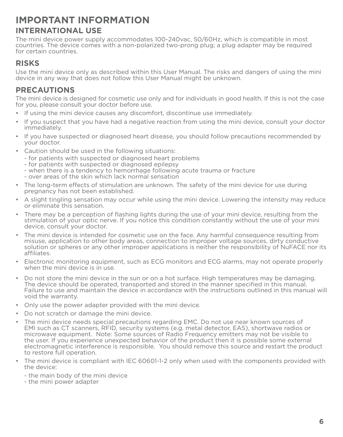## **IMPORTANT INFORMATION INTERNATIONAL USE**

The mini device power supply accommodates 100-240vac, 50/60Hz, which is compatible in most countries. The device comes with a non-polarized two-prong plug; a plug adapter may be required for certain countries.

#### **RISKS**

Use the mini device only as described within this User Manual. The risks and dangers of using the mini device in any way that does not follow this User Manual might be unknown.

#### **PRECAUTIONS**

The mini device is designed for cosmetic use only and for individuals in good health. If this is not the case for you, please consult your doctor before use.

- If using the mini device causes any discomfort, discontinue use immediately.
- If you suspect that you have had a negative reaction from using the mini device, consult your doctor immediately.
- If you have suspected or diagnosed heart disease, you should follow precautions recommended by your doctor.
- Caution should be used in the following situations:
	- for patients with suspected or diagnosed heart problems
	- for patients with suspected or diagnosed epilepsy
	- when there is a tendency to hemorrhage following acute trauma or fracture
	- over areas of the skin which lack normal sensation
- The long-term effects of stimulation are unknown. The safety of the mini device for use during pregnancy has not been established.
- A slight tingling sensation may occur while using the mini device. Lowering the intensity may reduce or eliminate this sensation.
- There may be a perception of flashing lights during the use of your mini device, resulting from the stimulation of your optic nerve. If you notice this condition constantly without the use of your mini device, consult your doctor.
- The mini device is intended for cosmetic use on the face. Any harmful consequence resulting from misuse, application to other body areas, connection to improper voltage sources, dirty conductive solution or spheres or any other improper applications is neither the responsibility of NuFACE nor its affiliates.
- Electronic monitoring equipment, such as ECG monitors and ECG alarms, may not operate properly when the mini device is in use.
- Do not store the mini device in the sun or on a hot surface. High temperatures may be damaging. The device should be operated, transported and stored in the manner specified in this manual. Failure to use and maintain the device in accordance with the instructions outlined in this manual will void the warranty.
- Only use the power adapter provided with the mini device.
- Do not scratch or damage the mini device.
- The mini device needs special precautions regarding EMC. Do not use near known sources of EMI such as CT scanners, RFID, security systems (e.g. metal detector, EAS), shortwave radios or microwave equipment. Note: Some sources of Radio Frequency emitters may not be visible to the user. If you experience unexpected behavior of the product then it is possible some external electromagnetic interference is responsible. You should remove this source and restart the product to restore full operation.
- The mini device is compliant with IEC 60601-1-2 only when used with the components provided with the device:
	- the main body of the mini device
	- the mini power adapter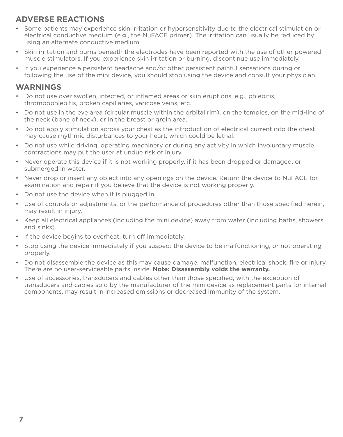## **ADVERSE REACTIONS**

- Some patients may experience skin irritation or hypersensitivity due to the electrical stimulation or electrical conductive medium (e.g., the NuFACE primer). The irritation can usually be reduced by using an alternate conductive medium.
- Skin irritation and burns beneath the electrodes have been reported with the use of other powered muscle stimulators. If you experience skin irritation or burning, discontinue use immediately.
- If you experience a persistent headache and/or other persistent painful sensations during or following the use of the mini device, you should stop using the device and consult your physician.

#### **WARNINGS**

- Do not use over swollen, infected, or inflamed areas or skin eruptions, e.g., phlebitis, thrombophlebitis, broken capillaries, varicose veins, etc.
- Do not use in the eye area (circular muscle within the orbital rim), on the temples, on the mid-line of the neck (bone of neck), or in the breast or groin area.
- Do not apply stimulation across your chest as the introduction of electrical current into the chest may cause rhythmic disturbances to your heart, which could be lethal.
- Do not use while driving, operating machinery or during any activity in which involuntary muscle contractions may put the user at undue risk of injury.
- Never operate this device if it is not working properly, if it has been dropped or damaged, or submerged in water.
- Never drop or insert any object into any openings on the device. Return the device to NuFACE for examination and repair if you believe that the device is not working properly.
- Do not use the device when it is plugged in.
- Use of controls or adjustments, or the performance of procedures other than those specified herein, may result in injury.
- Keep all electrical appliances (including the mini device) away from water (including baths, showers, and sinks).
- If the device begins to overheat, turn off immediately.
- Stop using the device immediately if you suspect the device to be malfunctioning, or not operating properly.
- Do not disassemble the device as this may cause damage, malfunction, electrical shock, fire or injury. There are no user-serviceable parts inside. **Note: Disassembly voids the warranty.**
- Use of accessories, transducers and cables other than those specified, with the exception of transducers and cables sold by the manufacturer of the mini device as replacement parts for internal components, may result in increased emissions or decreased immunity of the system.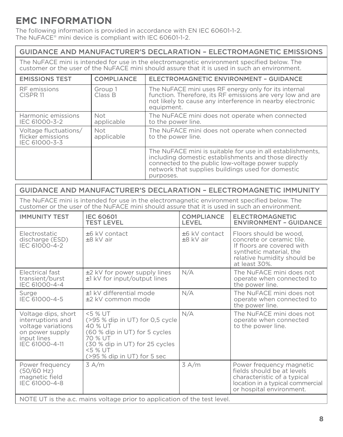# **EMC INFORMATION**

The following information is provided in accordance with EN IEC 60601-1-2. The NuFACE® mini device is compliant with IEC 60601-1-2.

#### GUIDANCE AND MANUFACTURER'S DECLARATION – ELECTROMAGNETIC EMISSIONS

The NuFACE mini is intended for use in the electromagnetic environment specified below. The customer or the user of the NuFACE mini should assure that it is used in such an environment.

| <b>EMISSIONS TEST</b>                                       | <b>COMPLIANCE</b>  | ELECTROMAGNETIC ENVIRONMENT - GUIDANCE                                                                                                                                                                                                   |
|-------------------------------------------------------------|--------------------|------------------------------------------------------------------------------------------------------------------------------------------------------------------------------------------------------------------------------------------|
| RF emissions<br>CISPR <sub>11</sub>                         | Group 1<br>Class B | The NuFACE mini uses RF energy only for its internal<br>function. Therefore, its RF emissions are very low and are<br>not likely to cause any interference in nearby electronic<br>equipment.                                            |
| Harmonic emissions<br>IEC 61000-3-2                         | Not<br>applicable  | The NuFACE mini does not operate when connected<br>to the power line.                                                                                                                                                                    |
| Voltage fluctuations/<br>flicker emissions<br>IEC 61000-3-3 | Not<br>applicable  | The NuFACE mini does not operate when connected<br>to the power line.                                                                                                                                                                    |
|                                                             |                    | The NuFACE mini is suitable for use in all establishments,<br>including domestic establishments and those directly<br>connected to the public low-voltage power supply<br>network that supplies buildings used for domestic<br>purposes. |

#### GUIDANCE AND MANUFACTURER'S DECLARATION – ELECTROMAGNETIC IMMUNITY

The NuFACE mini is intended for use in the electromagnetic environment specified below. The customer or the user of the NuFACE mini should assure that it is used in such an environment.

| <b>IMMUNITY TEST</b>                                                                                               | <b>IEC 60601</b><br><b>TEST LEVEL</b>                                                                                                                                         | <b>COMPLIANCE</b><br>LEVEL   | <b>ELECTROMAGNETIC</b><br><b>ENVIRONMENT - GUIDANCE</b>                                                                                                      |  |
|--------------------------------------------------------------------------------------------------------------------|-------------------------------------------------------------------------------------------------------------------------------------------------------------------------------|------------------------------|--------------------------------------------------------------------------------------------------------------------------------------------------------------|--|
| Electrostatic<br>discharge (ESD)<br>IEC 61000-4-2                                                                  | $±6$ kV contact<br>$±8$ kV air                                                                                                                                                | ±6 kV contact<br>$+8$ kV air | Floors should be wood,<br>concrete or ceramic tile.<br>If floors are covered with<br>synthetic material, the<br>relative humidity should be<br>at least 30%. |  |
| <b>Electrical fast</b><br>transient/burst<br>IEC 61000-4-4                                                         | ±2 kV for power supply lines<br>$±1$ kV for input/output lines                                                                                                                | N/A                          | The NuFACE mini does not<br>operate when connected to<br>the power line.                                                                                     |  |
| Surge<br>IEC 61000-4-5                                                                                             | +1 kV differential mode<br>±2 kV common mode                                                                                                                                  | N/A                          | The NuFACE mini does not<br>operate when connected to<br>the power line.                                                                                     |  |
| Voltage dips, short<br>interruptions and<br>voltage variations<br>on power supply<br>input lines<br>IEC 61000-4-11 | <5 % UT<br>(>95 % dip in UT) for 0.5 cycle<br>40 % UT<br>(60 % dip in UT) for 5 cycles<br>70 % UT<br>(30 % dip in UT) for 25 cycles<br><5 % UT<br>(>95 % dip in UT) for 5 sec | N/A                          | The NuFACE mini does not<br>operate when connected<br>to the power line.                                                                                     |  |
| Power frequency<br>(50/60 Hz)<br>magnetic field<br>IEC 61000-4-8                                                   | 3 A/m                                                                                                                                                                         | 3 A/m                        | Power frequency magnetic<br>fields should be at levels<br>characteristic of a typical<br>location in a typical commercial<br>or hospital environment.        |  |
| NOTE UT is the a.c. mains voltage prior to application of the test level.                                          |                                                                                                                                                                               |                              |                                                                                                                                                              |  |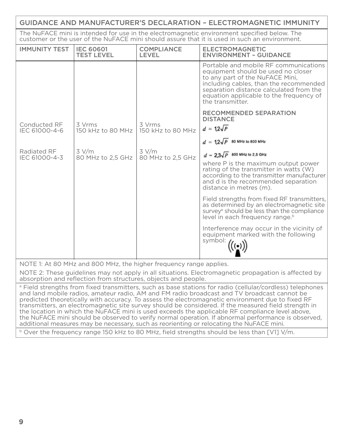| <b>GUIDANCE AND MANUFACTURER'S DECLARATION - ELECTROMAGNETIC IMMUNITY</b>                                                                                                                    |                                       |                             |                                                                                                                                                                                                                                                                    |  |
|----------------------------------------------------------------------------------------------------------------------------------------------------------------------------------------------|---------------------------------------|-----------------------------|--------------------------------------------------------------------------------------------------------------------------------------------------------------------------------------------------------------------------------------------------------------------|--|
| The NuFACE mini is intended for use in the electromagnetic environment specified below. The<br>customer or the user of the NuFACE mini should assure that it is used in such an environment. |                                       |                             |                                                                                                                                                                                                                                                                    |  |
| <b>IMMUNITY TEST</b>                                                                                                                                                                         | <b>IEC 60601</b><br><b>TEST LEVEL</b> | COMPLIANCE<br>LEVEL         | <b>ELECTROMAGNETIC</b><br><b>ENVIRONMENT - GUIDANCE</b>                                                                                                                                                                                                            |  |
|                                                                                                                                                                                              |                                       |                             | Portable and mobile RF communications<br>equipment should be used no closer<br>to any part of the NuFACE Mini,<br>including cables, than the recommended<br>separation distance calculated from the<br>equation applicable to the frequency of<br>the transmitter. |  |
|                                                                                                                                                                                              |                                       |                             | RECOMMENDED SEPARATION<br><b>DISTANCE</b>                                                                                                                                                                                                                          |  |
| Conducted RF<br>IEC 61000-4-6                                                                                                                                                                | 3 Vrms<br>150 kHz to 80 MHz           | 3 Vrms<br>150 kHz to 80 MHz | $d = 12\sqrt{P}$                                                                                                                                                                                                                                                   |  |
|                                                                                                                                                                                              |                                       |                             | $d = 12\sqrt{P}$ 80 MHz to 800 MHz                                                                                                                                                                                                                                 |  |
| Radiated RF<br>IEC 61000-4-3                                                                                                                                                                 | 3 V/m<br>80 MHz to 2,5 GHz            | 3 V/m<br>80 MHz to 2.5 GHz  | $d = 2.3\sqrt{P}$ 800 MHz to 2.5 GHz<br>where P is the maximum output power<br>rating of the transmitter in watts (W)<br>according to the transmitter manufacturer<br>and d is the recommended separation<br>distance in metres (m).                               |  |
|                                                                                                                                                                                              |                                       |                             | Field strengths from fixed RF transmitters,<br>as determined by an electromagnetic site<br>survey <sup>ª</sup> should be less than the compliance<br>level in each frequency range. <sup>b</sup>                                                                   |  |
|                                                                                                                                                                                              |                                       |                             | Interference may occur in the vicinity of<br>equipment marked with the following<br>$\frac{\text{equ.}}{\text{symbol}}$ (( $\bullet$ )                                                                                                                             |  |
| NOTE 1: At 80 MHz and 800 MHz, the higher frequency range applies.<br>NOTE 2: These guidelines may not apply in all situations. Electromagnetic propagation is affected by                   |                                       |                             |                                                                                                                                                                                                                                                                    |  |
| absorption and reflection from structures, objects and people.<br><sup>a</sup> Field strengths from fixed transmitters, such as base stations for radio (cellular/cordless) telephones       |                                       |                             |                                                                                                                                                                                                                                                                    |  |
| and land mobile radios, amateur radio, AM and FM radio broadcast and TV broadcast cannot be                                                                                                  |                                       |                             |                                                                                                                                                                                                                                                                    |  |

predicted theoretically with accuracy. To assess the electromagnetic environment due to fixed RF transmitters, an electromagnetic site survey should be considered. If the measured field strength in the location in which the NuFACE mini is used exceeds the applicable RF compliance level above, the NuFACE mini should be observed to verify normal operation. If abnormal performance is observed, additional measures may be necessary, such as reorienting or relocating the NuFACE mini.

<sup>b</sup> Over the frequency range 150 kHz to 80 MHz, field strengths should be less than [V1] V/m.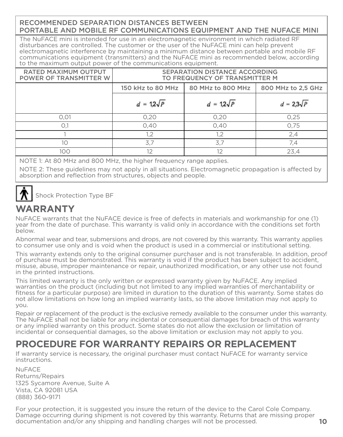#### RECOMMENDED SEPARATION DISTANCES BETWEEN PORTABLE AND MOBILE RF COMMUNICATIONS EQUIPMENT AND THE NUFACE MINI

The NuFACE mini is intended for use in an electromagnetic environment in which radiated RF disturbances are controlled. The customer or the user of the NuFACE mini can help prevent electromagnetic interference by maintaining a minimum distance between portable and mobile RF communications equipment (transmitters) and the NuFACE mini as recommended below, according to the maximum output power of the communications equipment.

| <b>RATED MAXIMUM OUTPUT</b><br>POWER OF TRANSMITTER W | SEPARATION DISTANCE ACCORDING<br>TO FREQUENCY OF TRANSMITTER M |                  |                    |  |
|-------------------------------------------------------|----------------------------------------------------------------|------------------|--------------------|--|
|                                                       | 150 kHz to 80 MHz<br>80 MHz to 800 MHz                         |                  | 800 MHz to 2,5 GHz |  |
|                                                       | $d = 12\sqrt{P}$                                               | $d = 12\sqrt{P}$ | $d = 2.3\sqrt{P}$  |  |
| 0.01                                                  | 0,20                                                           | 0,20             | 0.25               |  |
| O.1                                                   | 0,40                                                           | 0.40             | 0.75               |  |
|                                                       | 1.2                                                            | 1.2              | 2,4                |  |
| 10                                                    | 3.7                                                            | 3.7              | 7.4                |  |
| 100                                                   | $12 \overline{ }$                                              | 12               | 23.4               |  |

NOTE 1: At 80 MHz and 800 MHz, the higher frequency range applies.

NOTE 2: These guidelines may not apply in all situations. Electromagnetic propagation is affected by absorption and reflection from structures, objects and people.

Shock Protection Type BF

# **WARRANTY**

NuFACE warrants that the NuFACE device is free of defects in materials and workmanship for one (1) year from the date of purchase. This warranty is valid only in accordance with the conditions set forth below.

Abnormal wear and tear, submersions and drops, are not covered by this warranty. This warranty applies to consumer use only and is void when the product is used in a commercial or institutional setting.

This warranty extends only to the original consumer purchaser and is not transferable. In addition, proof of purchase must be demonstrated. This warranty is void if the product has been subject to accident, misuse, abuse, improper maintenance or repair, unauthorized modification, or any other use not found in the printed instructions.

This limited warranty is the only written or expressed warranty given by NuFACE. Any implied warranties on the product (including but not limited to any implied warranties of merchantability or fitness for a particular purpose) are limited in duration to the duration of this warranty. Some states do not allow limitations on how long an implied warranty lasts, so the above limitation may not apply to you.

Repair or replacement of the product is the exclusive remedy available to the consumer under this warranty. The NuFACE shall not be liable for any incidental or consequential damages for breach of this warranty or any implied warranty on this product. Some states do not allow the exclusion or limitation of incidental or consequential damages, so the above limitation or exclusion may not apply to you.

## **PROCEDURE FOR WARRANTY REPAIRS OR REPLACEMENT**

If warranty service is necessary, the original purchaser must contact NuFACE for warranty service instructions.

NuFACE Returns/Repairs 1325 Sycamore Avenue, Suite A Vista, CA 92081 USA (888) 360-9171

For your protection, it is suggested you insure the return of the device to the Carol Cole Company. Damage occurring during shipment is not covered by this warranty. Returns that are missing proper documentation and/or any shipping and handling charges will not be processed. **10**